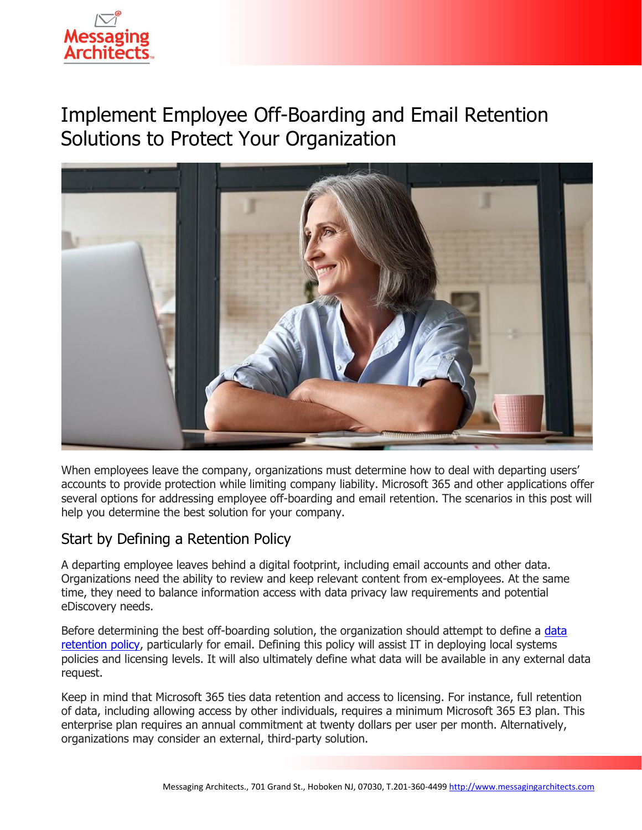

# Implement Employee Off-Boarding and Email Retention Solutions to Protect Your Organization



When employees leave the company, organizations must determine how to deal with departing users' accounts to provide protection while limiting company liability. Microsoft 365 and other applications offer several options for addressing employee off-boarding and email retention. The scenarios in this post will help you determine the best solution for your company.

### Start by Defining a Retention Policy

A departing employee leaves behind a digital footprint, including email accounts and other data. Organizations need the ability to review and keep relevant content from ex-employees. At the same time, they need to balance information access with data privacy law requirements and potential eDiscovery needs.

Before determining the best off-boarding solution, the organization should attempt to define a data [retention policy,](https://messagingarchitects.com/email-retention-goldilocks-zone/) particularly for email. Defining this policy will assist IT in deploying local systems policies and licensing levels. It will also ultimately define what data will be available in any external data request.

Keep in mind that Microsoft 365 ties data retention and access to licensing. For instance, full retention of data, including allowing access by other individuals, requires a minimum Microsoft 365 E3 plan. This enterprise plan requires an annual commitment at twenty dollars per user per month. Alternatively, organizations may consider an external, third-party solution.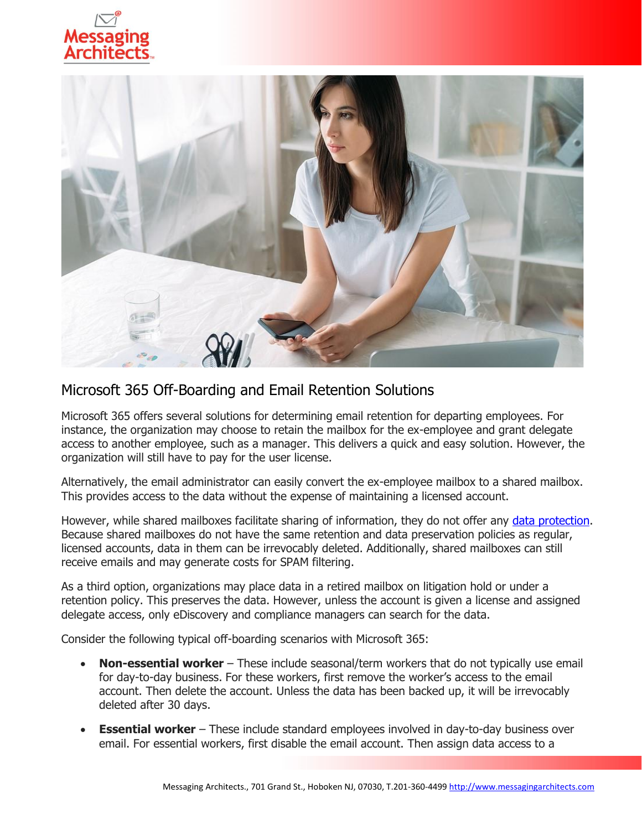



### Microsoft 365 Off-Boarding and Email Retention Solutions

Microsoft 365 offers several solutions for determining email retention for departing employees. For instance, the organization may choose to retain the mailbox for the ex-employee and grant delegate access to another employee, such as a manager. This delivers a quick and easy solution. However, the organization will still have to pay for the user license.

Alternatively, the email administrator can easily convert the ex-employee mailbox to a shared mailbox. This provides access to the data without the expense of maintaining a licensed account.

However, while shared mailboxes facilitate sharing of information, they do not offer any [data protection.](https://www.emazzanti.net/protect-your-office-365-data/) Because shared mailboxes do not have the same retention and data preservation policies as regular, licensed accounts, data in them can be irrevocably deleted. Additionally, shared mailboxes can still receive emails and may generate costs for SPAM filtering.

As a third option, organizations may place data in a retired mailbox on litigation hold or under a retention policy. This preserves the data. However, unless the account is given a license and assigned delegate access, only eDiscovery and compliance managers can search for the data.

Consider the following typical off-boarding scenarios with Microsoft 365:

- **Non-essential worker** These include seasonal/term workers that do not typically use email for day-to-day business. For these workers, first remove the worker's access to the email account. Then delete the account. Unless the data has been backed up, it will be irrevocably deleted after 30 days.
- **Essential worker** These include standard employees involved in day-to-day business over email. For essential workers, first disable the email account. Then assign data access to a